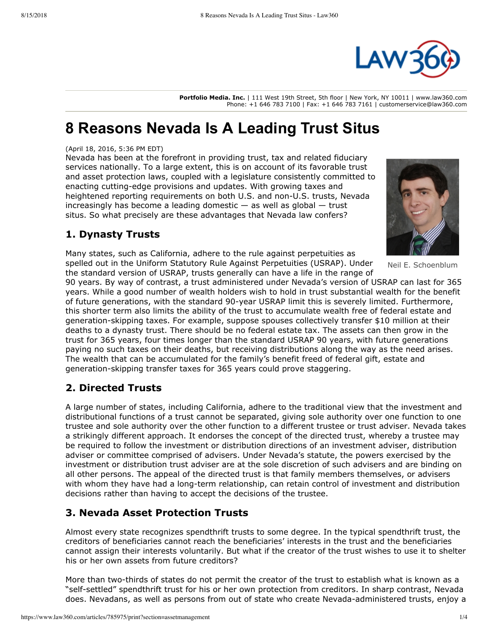

**Portfolio Media. Inc.** | 111 West 19th Street, 5th floor | New York, NY 10011 | www.law360.com Phone: +1 646 783 7100 | Fax: +1 646 783 7161 | customerservice@law360.com

# **8 Reasons Nevada Is A Leading Trust Situs**

#### (April 18, 2016, 5:36 PM EDT)

Nevada has been at the forefront in providing trust, tax and related fiduciary services nationally. To a large extent, this is on account of its favorable trust and asset protection laws, coupled with a legislature consistently committed to enacting cutting-edge provisions and updates. With growing taxes and heightened reporting requirements on both U.S. and non-U.S. trusts, Nevada increasingly has become a leading domestic  $-$  as well as global  $-$  trust situs. So what precisely are these advantages that Nevada law confers?

## **1. Dynasty Trusts**

Many states, such as California, adhere to the rule against perpetuities as spelled out in the Uniform Statutory Rule Against Perpetuities (USRAP). Under the standard version of USRAP, trusts generally can have a life in the range of

Neil E. Schoenblum

90 years. By way of contrast, a trust administered under Nevada's version of USRAP can last for 365 years. While a good number of wealth holders wish to hold in trust substantial wealth for the benefit of future generations, with the standard 90-year USRAP limit this is severely limited. Furthermore, this shorter term also limits the ability of the trust to accumulate wealth free of federal estate and generation-skipping taxes. For example, suppose spouses collectively transfer \$10 million at their deaths to a dynasty trust. There should be no federal estate tax. The assets can then grow in the trust for 365 years, four times longer than the standard USRAP 90 years, with future generations paying no such taxes on their deaths, but receiving distributions along the way as the need arises. The wealth that can be accumulated for the family's benefit freed of federal gift, estate and generation-skipping transfer taxes for 365 years could prove staggering.

# **2. Directed Trusts**

A large number of states, including California, adhere to the traditional view that the investment and distributional functions of a trust cannot be separated, giving sole authority over one function to one trustee and sole authority over the other function to a different trustee or trust adviser. Nevada takes a strikingly different approach. It endorses the concept of the directed trust, whereby a trustee may be required to follow the investment or distribution directions of an investment adviser, distribution adviser or committee comprised of advisers. Under Nevada's statute, the powers exercised by the investment or distribution trust adviser are at the sole discretion of such advisers and are binding on all other persons. The appeal of the directed trust is that family members themselves, or advisers with whom they have had a long-term relationship, can retain control of investment and distribution decisions rather than having to accept the decisions of the trustee.

## **3. Nevada Asset Protection Trusts**

Almost every state recognizes spendthrift trusts to some degree. In the typical spendthrift trust, the creditors of beneficiaries cannot reach the beneficiaries' interests in the trust and the beneficiaries cannot assign their interests voluntarily. But what if the creator of the trust wishes to use it to shelter his or her own assets from future creditors?

More than two-thirds of states do not permit the creator of the trust to establish what is known as a "self-settled" spendthrift trust for his or her own protection from creditors. In sharp contrast, Nevada does. Nevadans, as well as persons from out of state who create Nevada-administered trusts, enjoy a

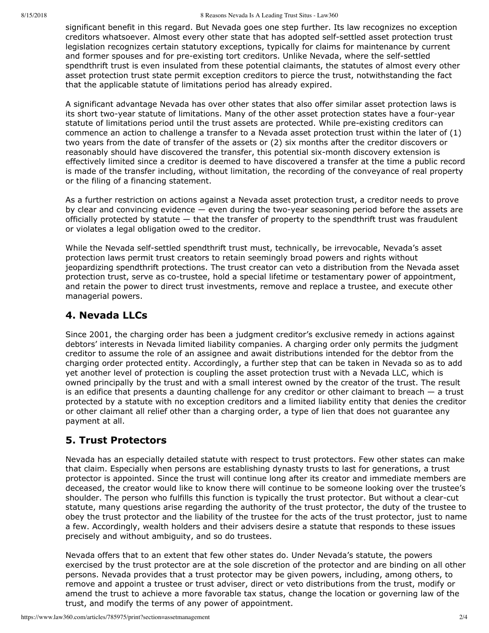significant benefit in this regard. But Nevada goes one step further. Its law recognizes no exception creditors whatsoever. Almost every other state that has adopted self-settled asset protection trust legislation recognizes certain statutory exceptions, typically for claims for maintenance by current and former spouses and for pre-existing tort creditors. Unlike Nevada, where the self-settled spendthrift trust is even insulated from these potential claimants, the statutes of almost every other asset protection trust state permit exception creditors to pierce the trust, notwithstanding the fact that the applicable statute of limitations period has already expired.

A significant advantage Nevada has over other states that also offer similar asset protection laws is its short two-year statute of limitations. Many of the other asset protection states have a four-year statute of limitations period until the trust assets are protected. While pre-existing creditors can commence an action to challenge a transfer to a Nevada asset protection trust within the later of (1) two years from the date of transfer of the assets or (2) six months after the creditor discovers or reasonably should have discovered the transfer, this potential six-month discovery extension is effectively limited since a creditor is deemed to have discovered a transfer at the time a public record is made of the transfer including, without limitation, the recording of the conveyance of real property or the filing of a financing statement.

As a further restriction on actions against a Nevada asset protection trust, a creditor needs to prove by clear and convincing evidence  $-$  even during the two-year seasoning period before the assets are officially protected by statute — that the transfer of property to the spendthrift trust was fraudulent or violates a legal obligation owed to the creditor.

While the Nevada self-settled spendthrift trust must, technically, be irrevocable, Nevada's asset protection laws permit trust creators to retain seemingly broad powers and rights without jeopardizing spendthrift protections. The trust creator can veto a distribution from the Nevada asset protection trust, serve as co-trustee, hold a special lifetime or testamentary power of appointment, and retain the power to direct trust investments, remove and replace a trustee, and execute other managerial powers.

# **4. Nevada LLCs**

Since 2001, the charging order has been a judgment creditor's exclusive remedy in actions against debtors' interests in Nevada limited liability companies. A charging order only permits the judgment creditor to assume the role of an assignee and await distributions intended for the debtor from the charging order protected entity. Accordingly, a further step that can be taken in Nevada so as to add yet another level of protection is coupling the asset protection trust with a Nevada LLC, which is owned principally by the trust and with a small interest owned by the creator of the trust. The result is an edifice that presents a daunting challenge for any creditor or other claimant to breach  $-$  a trust protected by a statute with no exception creditors and a limited liability entity that denies the creditor or other claimant all relief other than a charging order, a type of lien that does not guarantee any payment at all.

# **5. Trust Protectors**

Nevada has an especially detailed statute with respect to trust protectors. Few other states can make that claim. Especially when persons are establishing dynasty trusts to last for generations, a trust protector is appointed. Since the trust will continue long after its creator and immediate members are deceased, the creator would like to know there will continue to be someone looking over the trustee's shoulder. The person who fulfills this function is typically the trust protector. But without a clear-cut statute, many questions arise regarding the authority of the trust protector, the duty of the trustee to obey the trust protector and the liability of the trustee for the acts of the trust protector, just to name a few. Accordingly, wealth holders and their advisers desire a statute that responds to these issues precisely and without ambiguity, and so do trustees.

Nevada offers that to an extent that few other states do. Under Nevada's statute, the powers exercised by the trust protector are at the sole discretion of the protector and are binding on all other persons. Nevada provides that a trust protector may be given powers, including, among others, to remove and appoint a trustee or trust adviser, direct or veto distributions from the trust, modify or amend the trust to achieve a more favorable tax status, change the location or governing law of the trust, and modify the terms of any power of appointment.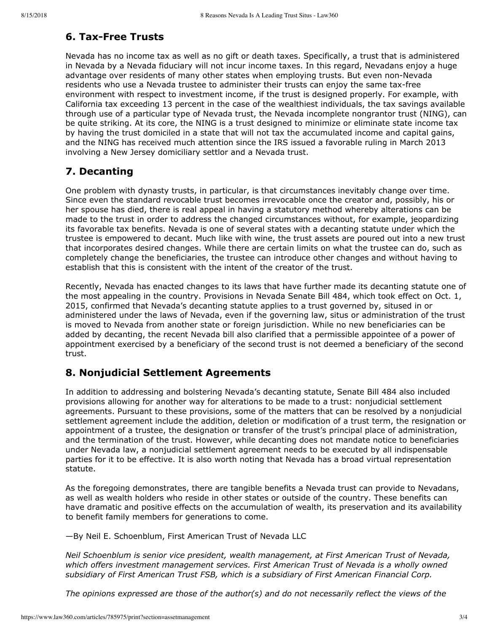#### **6. Tax-Free Trusts**

Nevada has no income tax as well as no gift or death taxes. Specifically, a trust that is administered in Nevada by a Nevada fiduciary will not incur income taxes. In this regard, Nevadans enjoy a huge advantage over residents of many other states when employing trusts. But even non-Nevada residents who use a Nevada trustee to administer their trusts can enjoy the same tax-free environment with respect to investment income, if the trust is designed properly. For example, with California tax exceeding 13 percent in the case of the wealthiest individuals, the tax savings available through use of a particular type of Nevada trust, the Nevada incomplete nongrantor trust (NING), can be quite striking. At its core, the NING is a trust designed to minimize or eliminate state income tax by having the trust domiciled in a state that will not tax the accumulated income and capital gains, and the NING has received much attention since the [IRS](https://www.law360.com/agencies/internal-revenue-service) issued a favorable ruling in March 2013 involving a New Jersey domiciliary settlor and a Nevada trust.

# **7. Decanting**

One problem with dynasty trusts, in particular, is that circumstances inevitably change over time. Since even the standard revocable trust becomes irrevocable once the creator and, possibly, his or her spouse has died, there is real appeal in having a statutory method whereby alterations can be made to the trust in order to address the changed circumstances without, for example, jeopardizing its favorable tax benefits. Nevada is one of several states with a decanting statute under which the trustee is empowered to decant. Much like with wine, the trust assets are poured out into a new trust that incorporates desired changes. While there are certain limits on what the trustee can do, such as completely change the beneficiaries, the trustee can introduce other changes and without having to establish that this is consistent with the intent of the creator of the trust.

Recently, Nevada has enacted changes to its laws that have further made its decanting statute one of the most appealing in the country. Provisions in Nevada Senate Bill 484, which took effect on Oct. 1, 2015, confirmed that Nevada's decanting statute applies to a trust governed by, sitused in or administered under the laws of Nevada, even if the governing law, situs or administration of the trust is moved to Nevada from another state or foreign jurisdiction. While no new beneficiaries can be added by decanting, the recent Nevada bill also clarified that a permissible appointee of a power of appointment exercised by a beneficiary of the second trust is not deemed a beneficiary of the second trust.

## **8. Nonjudicial Settlement Agreements**

In addition to addressing and bolstering Nevada's decanting statute, Senate Bill 484 also included provisions allowing for another way for alterations to be made to a trust: nonjudicial settlement agreements. Pursuant to these provisions, some of the matters that can be resolved by a nonjudicial settlement agreement include the addition, deletion or modification of a trust term, the resignation or appointment of a trustee, the designation or transfer of the trust's principal place of administration, and the termination of the trust. However, while decanting does not mandate notice to beneficiaries under Nevada law, a nonjudicial settlement agreement needs to be executed by all indispensable parties for it to be effective. It is also worth noting that Nevada has a broad virtual representation statute.

As the foregoing demonstrates, there are tangible benefits a Nevada trust can provide to Nevadans, as well as wealth holders who reside in other states or outside of the country. These benefits can have dramatic and positive effects on the accumulation of wealth, its preservation and its availability to benefit family members for generations to come.

—By Neil E. Schoenblum, First American Trust of Nevada LLC

*[Neil Schoenblum](https://www.firstamtrust.com/our_team/97) is senior vice president, wealth management, at First American Trust of Nevada, which offers investment management services. First American Trust of Nevada is a wholly owned subsidiary of First American Trust FSB, which is a subsidiary of [First American Financial Corp](https://www.law360.com/companies/first-american-financial-corp).*

*The opinions expressed are those of the author(s) and do not necessarily reflect the views of the*